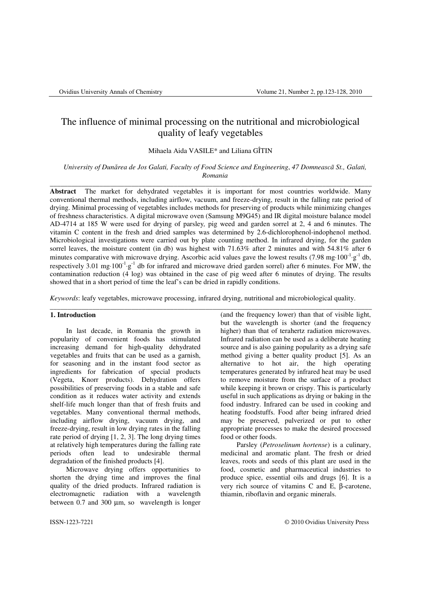# The influence of minimal processing on the nutritional and microbiological quality of leafy vegetables

Mihaela Aida VASILE\* and Liliana GÎTIN

*University of Dun*ă*rea de Jos Galati, Faculty of Food Science and Engineering*, *47 Domneascã St., Galati, Romania*

\_\_\_\_\_\_\_\_\_\_\_\_\_\_\_\_\_\_\_\_\_\_\_\_\_\_\_\_\_\_\_\_\_\_\_\_\_\_\_\_\_\_\_\_\_\_\_\_\_\_\_\_\_\_\_\_\_\_\_\_\_\_\_\_\_\_\_\_\_\_\_\_\_\_\_\_\_\_\_\_\_\_\_\_\_\_\_\_\_\_\_

**Abstract** The market for dehydrated vegetables it is important for most countries worldwide. Many conventional thermal methods, including airflow, vacuum, and freeze-drying, result in the falling rate period of drying. Minimal processing of vegetables includes methods for preserving of products while minimizing changes of freshness characteristics. A digital microwave oven (Samsung M9G45) and IR digital moisture balance model AD-4714 at 185 W were used for drying of parsley*,* pig weed and garden sorrel at 2, 4 and 6 minutes. The vitamin C content in the fresh and dried samples was determined by 2.6-dichlorophenol-indophenol method. Microbiological investigations were carried out by plate counting method. In infrared drying, for the garden sorrel leaves, the moisture content (in db) was highest with 71.63% after 2 minutes and with 54.81% after 6 minutes comparative with microwave drying. Ascorbic acid values gave the lowest results (7.98 mg⋅100<sup>-1</sup>⋅g<sup>-1</sup> db, respectively 3.01 mg⋅100<sup>-1</sup>⋅g<sup>-1</sup> db for infrared and microwave dried garden sorrel) after 6 minutes. For MW, the contamination reduction (4 log) was obtained in the case of pig weed after 6 minutes of drying. The results showed that in a short period of time the leaf's can be dried in rapidly conditions.

*Keywords*: leafy vegetables, microwave processing, infrared drying, nutritional and microbiological quality.

\_\_\_\_\_\_\_\_\_\_\_\_\_\_\_\_\_\_\_\_\_\_\_\_\_\_\_\_\_\_\_\_\_\_\_\_\_\_\_\_\_\_\_\_\_\_\_\_\_\_\_\_\_\_\_\_\_\_\_\_\_\_\_\_\_\_\_\_\_\_\_\_\_\_\_\_\_\_\_\_\_\_\_\_\_\_\_\_\_\_\_

## **1. Introduction**

In last decade, in Romania the growth in popularity of convenient foods has stimulated increasing demand for high-quality dehydrated vegetables and fruits that can be used as a garnish, for seasoning and in the instant food sector as ingredients for fabrication of special products (Vegeta, Knorr products). Dehydration offers possibilities of preserving foods in a stable and safe condition as it reduces water activity and extends shelf-life much longer than that of fresh fruits and vegetables. Many conventional thermal methods, including airflow drying, vacuum drying, and freeze-drying, result in low drying rates in the falling rate period of drying [1, 2, 3]. The long drying times at relatively high temperatures during the falling rate periods often lead to undesirable thermal degradation of the finished products [4].

Microwave drying offers opportunities to shorten the drying time and improves the final quality of the dried products. Infrared radiation is electromagnetic radiation with a wavelength between 0.7 and 300  $\mu$ m, so wavelength is longer (and the frequency lower) than that of visible light, but the wavelength is shorter (and the frequency higher) than that of terahertz radiation microwaves. Infrared radiation can be used as a deliberate heating source and is also gaining popularity as a drying safe method giving a better quality product [5]. As an alternative to hot air, the high operating temperatures generated by infrared heat may be used to remove moisture from the surface of a product while keeping it brown or crispy. This is particularly useful in such applications as drying or baking in the food industry. Infrared can be used in cooking and heating foodstuffs. Food after being infrared dried may be preserved, pulverized or put to other appropriate processes to make the desired processed food or other foods.

Parsley (*Petroselinum hortense*) is a culinary, medicinal and aromatic plant. The fresh or dried leaves, roots and seeds of this plant are used in the food, cosmetic and pharmaceutical industries to produce spice, essential oils and drugs [6]. It is a very rich source of vitamins C and E, β-carotene, thiamin, riboflavin and organic minerals.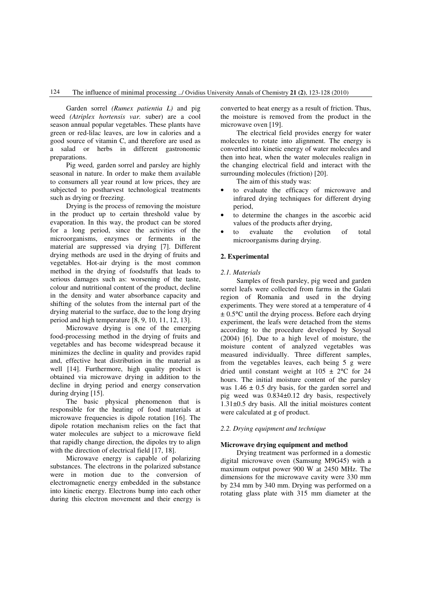Garden sorrel *(Rumex patientia L)* and pig weed *(Atriplex hortensis var.* suber) are a cool season annual popular vegetables. These plants have green or red-lilac leaves, are low in calories and a good source of vitamin C, and therefore are used as a salad or herbs in different gastronomic preparations.

Pig weed*,* garden sorrel and parsley are highly seasonal in nature. In order to make them available to consumers all year round at low prices, they are subjected to postharvest technological treatments such as drying or freezing.

Drying is the process of removing the moisture in the product up to certain threshold value by evaporation. In this way, the product can be stored for a long period, since the activities of the microorganisms, enzymes or ferments in the material are suppressed via drying [7]. Different drying methods are used in the drying of fruits and vegetables. Hot-air drying is the most common method in the drying of foodstuffs that leads to serious damages such as: worsening of the taste, colour and nutritional content of the product, decline in the density and water absorbance capacity and shifting of the solutes from the internal part of the drying material to the surface, due to the long drying period and high temperature [8, 9, 10, 11, 12, 13].

Microwave drying is one of the emerging food-processing method in the drying of fruits and vegetables and has become widespread because it minimizes the decline in quality and provides rapid and, effective heat distribution in the material as well [14]. Furthermore, high quality product is obtained via microwave drying in addition to the decline in drying period and energy conservation during drying [15].

The basic physical phenomenon that is responsible for the heating of food materials at microwave frequencies is dipole rotation [16]. The dipole rotation mechanism relies on the fact that water molecules are subject to a microwave field that rapidly change direction, the dipoles try to align with the direction of electrical field [17, 18].

Microwave energy is capable of polarizing substances. The electrons in the polarized substance were in motion due to the conversion of electromagnetic energy embedded in the substance into kinetic energy. Electrons bump into each other during this electron movement and their energy is converted to heat energy as a result of friction. Thus, the moisture is removed from the product in the microwave oven [19].

The electrical field provides energy for water molecules to rotate into alignment. The energy is converted into kinetic energy of water molecules and then into heat, when the water molecules realign in the changing electrical field and interact with the surrounding molecules (friction) [20].

The aim of this study was:

- to evaluate the efficacy of microwave and infrared drying techniques for different drying period,
- to determine the changes in the ascorbic acid values of the products after drying,
- to evaluate the evolution of total microorganisms during drying.

## **2. Experimental**

#### *2.1. Materials*

Samples of fresh parsley, pig weed and garden sorrel leafs were collected from farms in the Galati region of Romania and used in the drying experiments. They were stored at a temperature of 4  $\pm$  0.5 $\degree$ C until the drying process. Before each drying experiment, the leafs were detached from the stems according to the procedure developed by Soysal (2004) [6]. Due to a high level of moisture, the moisture content of analyzed vegetables was measured individually. Three different samples, from the vegetables leaves, each being 5 g were dried until constant weight at  $105 \pm 2^{\circ}$ C for 24 hours. The initial moisture content of the parsley was  $1.46 \pm 0.5$  dry basis, for the garden sorrel and pig weed was 0.834±0.12 dry basis, respectively 1.31±0.5 dry basis. All the initial moistures content were calculated at g of product.

#### *2.2. Drying equipment and technique*

#### **Microwave drying equipment and method**

Drying treatment was performed in a domestic digital microwave oven (Samsung M9G45) with a maximum output power 900 W at 2450 MHz. The dimensions for the microwave cavity were 330 mm by 234 mm by 340 mm. Drying was performed on a rotating glass plate with 315 mm diameter at the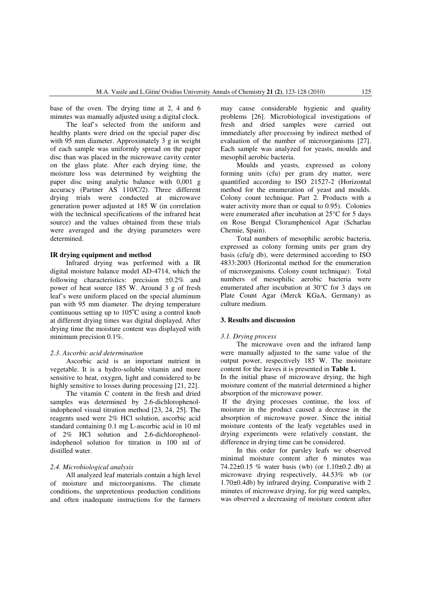base of the oven. The drying time at 2, 4 and 6 minutes was manually adjusted using a digital clock.

The leaf's selected from the uniform and healthy plants were dried on the special paper disc with 95 mm diameter. Approximately 3 g in weight of each sample was uniformly spread on the paper disc than was placed in the microwave cavity center on the glass plate. After each drying time, the moisture loss was determined by weighting the paper disc using analytic balance with 0,001 g accuracy (Partner AS 110/C/2). Three different drying trials were conducted at microwave generation power adjusted at 185 W (in correlation with the technical specifications of the infrared heat source) and the values obtained from these trials were averaged and the drying parameters were determined.

## **IR drying equipment and method**

Infrared drying was performed with a IR digital moisture balance model AD-4714, which the following characteristics: precision ±0.2% and power of heat source 185 W. Around 3 g of fresh leaf's were uniform placed on the special aluminum pan with 95 mm diameter. The drying temperature continuous setting up to  $105^{\circ}$ C using a control knob at different drying times was digital displayed. After drying time the moisture content was displayed with minimum precision 0.1%.

## *2.3. Ascorbic acid determination*

Ascorbic acid is an important nutrient in vegetable. It is a hydro-soluble vitamin and more sensitive to heat, oxygen, light and considered to be highly sensitive to losses during processing [21, 22].

The vitamin C content in the fresh and dried samples was determined by 2.6-dichlorophenolindophenol visual titration method [23, 24, 25]. The reagents used were 2% HCl solution, ascorbic acid standard containing 0.1 mg L-ascorbic acid in 10 ml of 2% HCl solution and 2.6-dichlorophenolindophenol solution for titration in 100 ml of distilled water.

#### *2.4. Microbiological analysis*

All analyzed leaf materials contain a high level of moisture and microorganisms. The climate conditions, the unpretentious production conditions and often inadequate instructions for the farmers may cause considerable hygienic and quality problems [26]. Microbiological investigations of fresh and dried samples were carried out immediately after processing by indirect method of evaluation of the number of microorganisms [27]. Each sample was analyzed for yeasts, moulds and mesophil aerobic bacteria.

Moulds and yeasts, expressed as colony forming units (cfu) per gram dry matter, were quantified according to ISO 21527-2 (Horizontal method for the enumeration of yeast and moulds. Colony count technique. Part 2. Products with a water activity more than or equal to 0.95). Colonies were enumerated after incubation at 25°C for 5 days on Rose Bengal Cloramphenicol Agar (Scharlau Chemie, Spain).

Total numbers of mesophilic aerobic bacteria, expressed as colony forming units per gram dry basis (cfu/g db), were determined according to ISO 4833:2003 (Horizontal method for the enumeration of microorganisms. Colony count technique). Total numbers of mesophilic aerobic bacteria were enumerated after incubation at 30°C for 3 days on Plate Count Agar (Merck KGaA, Germany) as culture medium.

## **3. Results and discussion**

#### *3.1. Drying process*

The microwave oven and the infrared lamp were manually adjusted to the same value of the output power, respectively 185 W. The moisture content for the leaves it is presented in **Table 1.**

In the initial phase of microwave drying, the high moisture content of the material determined a higher absorption of the microwave power.

 If the drying processes continue, the loss of moisture in the product caused a decrease in the absorption of microwave power. Since the initial moisture contents of the leafy vegetables used in drying experiments were relatively constant, the difference in drying time can be considered.

In this order for parsley leafs we observed minimal moisture content after 6 minutes was 74.22 $\pm$ 0.15 % water basis (wb) (or 1.10 $\pm$ 0.2 db) at microwave drying respectively, 44.53% wb (or 1.70±0.4db) by infrared drying. Comparative with 2 minutes of microwave drying, for pig weed samples, was observed a decreasing of moisture content after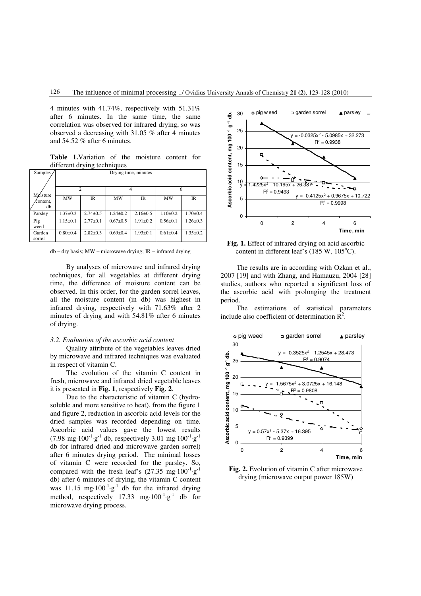4 minutes with 41.74%, respectively with 51.31% after 6 minutes. In the same time, the same correlation was observed for infrared drying, so was observed a decreasing with 31.05 % after 4 minutes and 54.52 % after 6 minutes.

**Table 1.**Variation of the moisture content for different drying techniques

| Samples                     | Drying time, minutes |                |                |                |                |                |
|-----------------------------|----------------------|----------------|----------------|----------------|----------------|----------------|
|                             | $\overline{c}$       |                |                |                | 6              |                |
| Móisture<br>∕content,<br>db | <b>MW</b>            | $_{\text{IR}}$ | MW             | <b>IR</b>      | MW             | <b>IR</b>      |
| Parsley                     | $1.37 \pm 0.3$       | $2.74 \pm 0.5$ | $1.24 \pm 0.2$ | $2.16 \pm 0.5$ | $1.10 \pm 0.2$ | $1.70 \pm 0.4$ |
| Pig<br>weed                 | $1.15 \pm 0.1$       | $2.77 + 0.1$   | $0.67 + 0.5$   | $1.91 \pm 0.2$ | $0.56 \pm 0.1$ | $1.26 \pm 0.3$ |
| Garden<br>sorrel            | $0.80 + 0.4$         | $2.82 \pm 0.3$ | $0.69 + 0.4$   | $1.93 + 0.1$   | $0.61 \pm 0.4$ | $1.35 \pm 0.2$ |

db – dry basis; MW – microwave drying; IR – infrared drying

By analyses of microwave and infrared drying techniques, for all vegetables at different drying time, the difference of moisture content can be observed. In this order, for the garden sorrel leaves, all the moisture content (in db) was highest in infrared drying, respectively with 71.63% after 2 minutes of drying and with 54.81% after 6 minutes of drying.

#### *3.2. Evaluation of the ascorbic acid content*

Quality attribute of the vegetables leaves dried by microwave and infrared techniques was evaluated in respect of vitamin C.

The evolution of the vitamin C content in fresh, microwave and infrared dried vegetable leaves it is presented in **Fig. 1**, respectively **Fig. 2**.

Due to the characteristic of vitamin C (hydrosoluble and more sensitive to heat), from the figure 1 and figure 2, reduction in ascorbic acid levels for the dried samples was recorded depending on time. Ascorbic acid values gave the lowest results  $(7.98 \text{ mg} \cdot 100^{-1} \cdot \text{g}^{-1} \text{ db}, \text{ respectively } 3.01 \text{ mg} \cdot 100^{-1} \cdot \text{g}^{-1}$ db for infrared dried and microwave garden sorrel) after 6 minutes drying period. The minimal losses of vitamin C were recorded for the parsley. So, compared with the fresh leaf's  $(27.35 \text{ mg}\cdot 100^{-1}\text{·g}^{-1})$ db) after 6 minutes of drying, the vitamin C content was 11.15 mg⋅100<sup>-1</sup>⋅g<sup>-1</sup> db for the infrared drying method, respectively  $17.33$  mg $\cdot 100^{-1}$  g<sup>-1</sup> db for microwave drying process.



**Fig. 1.** Effect of infrared drying on acid ascorbic content in different leaf's  $(185 \text{ W}, 105^{\circ} \text{C})$ .

The results are in according with Ozkan et al., 2007 [19] and with Zhang, and Hamauzu, 2004 [28] studies, authors who reported a significant loss of the ascorbic acid with prolonging the treatment period.

The estimations of statistical parameters include also coefficient of determination  $\overline{R}^2$ .



**Fig. 2.** Evolution of vitamin C after microwave drying (microwave output power 185W)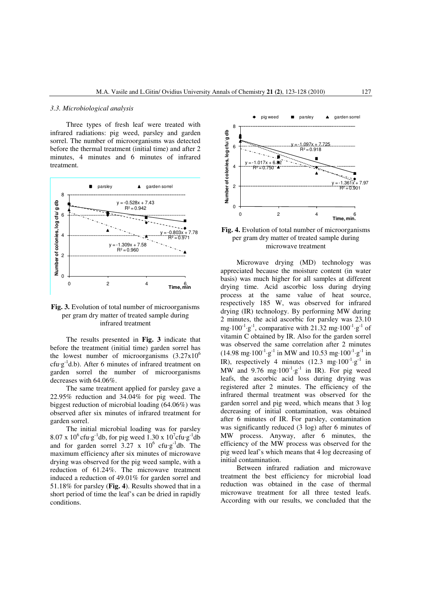#### *3.3. Microbiological analysis*

Three types of fresh leaf were treated with infrared radiations: pig weed, parsley and garden sorrel. The number of microorganisms was detected before the thermal treatment (initial time) and after 2 minutes, 4 minutes and 6 minutes of infrared treatment.





The results presented in **Fig. 3** indicate that before the treatment (initial time) garden sorrel has the lowest number of microorganisms  $(3.27 \times 10^6$ cfu·g<sup>-1</sup>d.b). After 6 minutes of infrared treatment on garden sorrel the number of microorganisms decreases with 64.06%.

The same treatment applied for parsley gave a 22.95% reduction and 34.04% for pig weed. The biggest reduction of microbial loading (64.06%) was observed after six minutes of infrared treatment for garden sorrel.

The initial microbial loading was for parsley  $8.07 \times 10^6$  cfu·g<sup>-1</sup>db, for pig weed  $1.30 \times 10^7$ cfu·g<sup>-1</sup>db and for garden sorrel  $3.27 \times 10^6$  cfu·g<sup>-1</sup>db. The maximum efficiency after six minutes of microwave drying was observed for the pig weed sample, with a reduction of 61.24%. The microwave treatment induced a reduction of 49.01% for garden sorrel and 51.18% for parsley (**Fig. 4**). Results showed that in a short period of time the leaf's can be dried in rapidly conditions.





Microwave drying (MD) technology was appreciated because the moisture content (in water basis) was much higher for all samples at different drying time. Acid ascorbic loss during drying process at the same value of heat source, respectively 185 W, was observed for infrared drying (IR) technology. By performing MW during 2 minutes, the acid ascorbic for parsley was 23.10 mg⋅100<sup>-1</sup>⋅g<sup>-1</sup>, comparative with 21.32 mg⋅100<sup>-1</sup>⋅g<sup>-1</sup> of vitamin C obtained by IR. Also for the garden sorrel was observed the same correlation after 2 minutes  $(14.98 \text{ mg} \cdot 100^{-1} \cdot \text{g}^{-1} \text{ in MW} \text{ and } 10.53 \text{ mg} \cdot 100^{-1} \cdot \text{g}^{-1} \text{ in}$ IR), respectively 4 minutes  $(12.3 \text{ mg}\cdot 100^{-1} \cdot \text{g}^{-1})$  in MW and  $9.76 \text{ mg} \cdot 100^{-1} \cdot g^{-1}$  in IR). For pig weed leafs, the ascorbic acid loss during drying was registered after 2 minutes. The efficiency of the infrared thermal treatment was observed for the garden sorrel and pig weed, which means that 3 log decreasing of initial contamination, was obtained after 6 minutes of IR. For parsley, contamination was significantly reduced (3 log) after 6 minutes of MW process. Anyway, after 6 minutes, the efficiency of the MW process was observed for the pig weed leaf's which means that 4 log decreasing of initial contamination.

Between infrared radiation and microwave treatment the best efficiency for microbial load reduction was obtained in the case of thermal microwave treatment for all three tested leafs. According with our results, we concluded that the